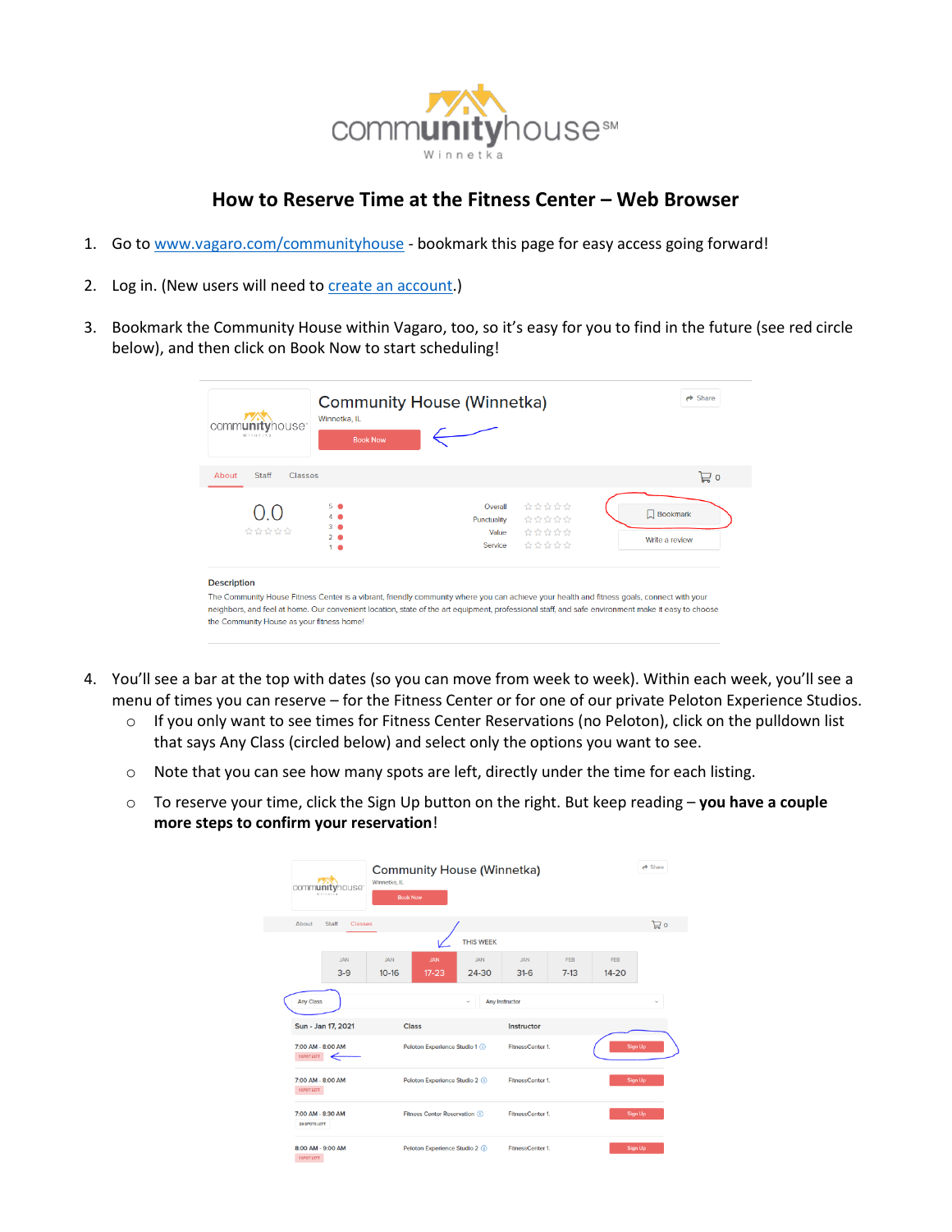

## **How to Reserve Time at the Fitness Center – Web Browser**

- 1. Go to [www.vagaro.com/communityhouse](http://www.vagaro.com/communityhouse) bookmark this page for easy access going forward!
- 2. Log in. (New users will need to [create an account.](https://support.vagaro.com/hc/en-us/articles/115003685133-How-to-Create-an-Account-For-Clients-of-a-Vagaro-Business-))
- 3. Bookmark the Community House within Vagaro, too, so it's easy for you to find in the future (see red circle below), and then click on Book Now to start scheduling!

| communityhouse <sup>-</sup><br>Winnetza                         | Winnetka, IL<br><b>Book Now</b>                                                                                                                                                                                                                                                                 | <b>Community House (Winnetka)</b>          |                                  | $\rightarrow$ Share               |
|-----------------------------------------------------------------|-------------------------------------------------------------------------------------------------------------------------------------------------------------------------------------------------------------------------------------------------------------------------------------------------|--------------------------------------------|----------------------------------|-----------------------------------|
| Classes<br>About<br>Staff                                       |                                                                                                                                                                                                                                                                                                 |                                            |                                  | 旨。                                |
| ☆☆☆☆☆                                                           | 5 <sup>o</sup><br>3 <sup>2</sup><br>$2 - 4$<br>$1 \bullet$                                                                                                                                                                                                                                      | Overall<br>Punctuality<br>Value<br>Service | 立立ななな<br>☆☆☆☆☆<br>立立立立立<br>立立立立立 | $\Box$ Bookmark<br>Write a review |
| <b>Description</b><br>the Community House as your fitness home! | The Community House Fitness Center is a vibrant, friendly community where you can achieve your health and fitness goals, connect with your<br>neighbors, and feel at home. Our convenient location, state of the art equipment, professional staff, and safe environment make it easy to choose |                                            |                                  |                                   |

- 4. You'll see a bar at the top with dates (so you can move from week to week). Within each week, you'll see a menu of times you can reserve – for the Fitness Center or for one of our private Peloton Experience Studios.
	- o If you only want to see times for Fitness Center Reservations (no Peloton), click on the pulldown list that says Any Class (circled below) and select only the options you want to see.
	- o Note that you can see how many spots are left, directly under the time for each listing.
	- o To reserve your time, click the Sign Up button on the right. But keep reading **you have a couple more steps to confirm your reservation**!

| communityhouse <sup>®</sup><br>Winnetts | <b>Community House (Winnetka)</b><br>Winnetka, IL<br><b>Book Now</b> |                     |                      |               |                         | $\rightarrow$ Share |
|-----------------------------------------|----------------------------------------------------------------------|---------------------|----------------------|---------------|-------------------------|---------------------|
| Staff<br>About<br><b>Classes</b>        |                                                                      |                     |                      |               |                         | 启。                  |
|                                         |                                                                      | <b>THIS WEEK</b>    |                      |               |                         |                     |
| <b>JAN</b><br>$3-9$                     | <b>JAN</b><br><b>JAN</b><br>$10-16$<br>$17 - 23$                     | <b>JAN</b><br>24-30 | <b>JAN</b><br>$31-6$ | FFB<br>$7-13$ | <b>FFB</b><br>$14 - 20$ |                     |
| <b>Any Class</b>                        |                                                                      | v                   | Any Instructor       |               |                         |                     |
| Sun - Jan 17, 2021                      | <b>Class</b>                                                         |                     | Instructor           |               |                         |                     |
| 7:00 AM - 8:00 AM<br><b>1SPOT LEFT</b>  | Peloton Experience Studio 1 (i)                                      |                     | FitnessCenter 1.     |               | Sign Up                 |                     |
| 7:00 AM - 8:00 AM<br>1 SPOT LEFT        | Peloton Experience Studio 2 (i)                                      |                     | FitnessCenter 1.     |               | <b>Sign Up</b>          |                     |
| 7:00 AM - 8:30 AM<br>20 SPOTS LEFT      | Fitness Center Reservation (i)                                       |                     | FitnessCenter 1.     |               | <b>Sign Up</b>          |                     |
| 8:00 AM - 9:00 AM<br><b>1SPOT LEFT</b>  | Peloton Experience Studio 2 (i)                                      |                     | FitnessCenter 1.     |               | Sign Up                 |                     |